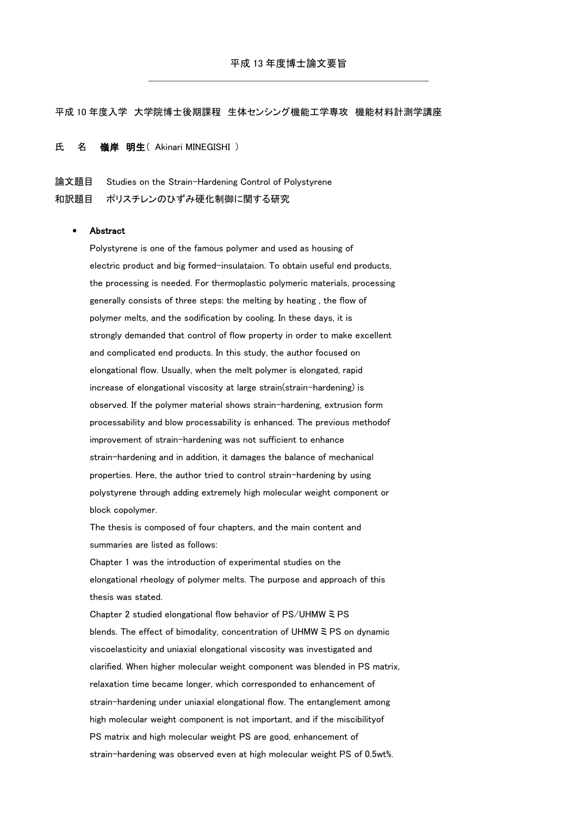## 平成 10 年度入学 大学院博士後期課程 生体センシング機能工学専攻 機能材料計測学講座

## 氏 名 嶺岸 明生 (Akinari MINEGISHI)

論文題目 Studies on the Strain-Hardening Control of Polystyrene 和訳題目 ポリスチレンのひずみ硬化制御に関する研究

## Abstract

Polystyrene is one of the famous polymer and used as housing of electric product and big formed-insulataion. To obtain useful end products, the processing is needed. For thermoplastic polymeric materials, processing generally consists of three steps: the melting by heating , the flow of polymer melts, and the sodification by cooling. In these days, it is strongly demanded that control of flow property in order to make excellent and complicated end products. In this study, the author focused on elongational flow. Usually, when the melt polymer is elongated, rapid increase of elongational viscosity at large strain(strain-hardening) is observed. If the polymer material shows strain-hardening, extrusion form processability and blow processability is enhanced. The previous methodof improvement of strain-hardening was not sufficient to enhance strain-hardening and in addition, it damages the balance of mechanical properties. Here, the author tried to control strain-hardening by using polystyrene through adding extremely high molecular weight component or block copolymer.

The thesis is composed of four chapters, and the main content and summaries are listed as follows:

Chapter 1 was the introduction of experimental studies on the elongational rheology of polymer melts. The purpose and approach of this thesis was stated.

Chapter 2 studied elongational flow behavior of PS/UHMW ミ PS blends. The effect of bimodality, concentration of UHMW ミ PS on dynamic viscoelasticity and uniaxial elongational viscosity was investigated and clarified. When higher molecular weight component was blended in PS matrix, relaxation time became longer, which corresponded to enhancement of strain-hardening under uniaxial elongational flow. The entanglement among high molecular weight component is not important, and if the miscibilityof PS matrix and high molecular weight PS are good, enhancement of strain-hardening was observed even at high molecular weight PS of 0.5wt%.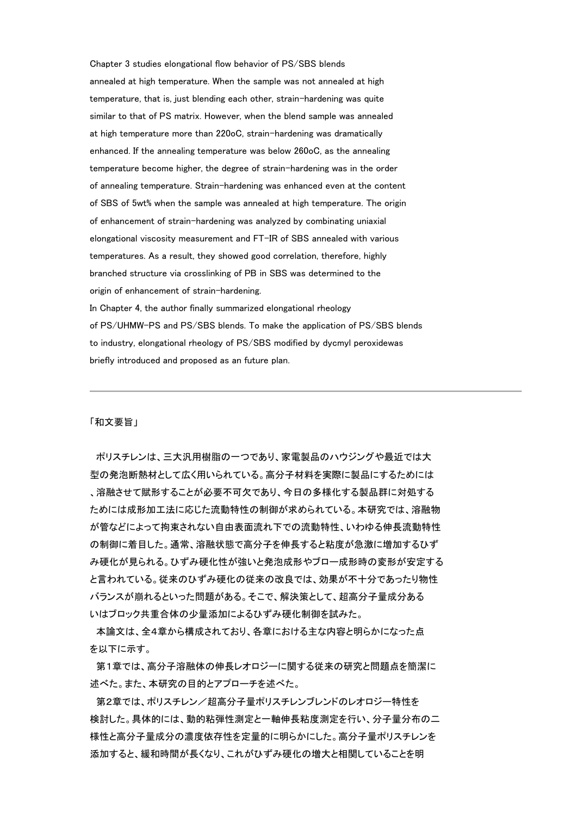Chapter 3 studies elongational flow behavior of PS/SBS blends annealed at high temperature. When the sample was not annealed at high temperature, that is, just blending each other, strain-hardening was quite similar to that of PS matrix. However, when the blend sample was annealed at high temperature more than 220oC, strain-hardening was dramatically enhanced. If the annealing temperature was below 260oC, as the annealing temperature become higher, the degree of strain-hardening was in the order of annealing temperature. Strain-hardening was enhanced even at the content of SBS of 5wt% when the sample was annealed at high temperature. The origin of enhancement of strain-hardening was analyzed by combinating uniaxial elongational viscosity measurement and FT-IR of SBS annealed with various temperatures. As a result, they showed good correlation, therefore, highly branched structure via crosslinking of PB in SBS was determined to the origin of enhancement of strain-hardening. In Chapter 4, the author finally summarized elongational rheology of PS/UHMW-PS and PS/SBS blends. To make the application of PS/SBS blends to industry, elongational rheology of PS/SBS modified by dycmyl peroxidewas briefly introduced and proposed as an future plan.

## 「和文要旨」

ポリスチレンは、三大汎用樹脂の一つであり、家電製品のハウジングや最近では大 型の発泡断熱材として広く用いられている。高分子材料を実際に製品にするためには 、溶融させて賦形することが必要不可欠であり、今日の多様化する製品群に対処する ためには成形加工法に応じた流動特性の制御が求められている。本研究では、溶融物 が管などによって拘束されない自由表面流れ下での流動特性、いわゆる伸長流動特性 の制御に着目した。通常、溶融状態で高分子を伸長すると粘度が急激に増加するひず み硬化が見られる。ひずみ硬化性が強いと発泡成形やブロー成形時の変形が安定する と言われている。従来のひずみ硬化の従来の改良では、効果が不十分であったり物性 バランスが崩れるといった問題がある。そこで、解決策として、超高分子量成分ある いはブロック共重合体の少量添加によるひずみ硬化制御を試みた。

本論文は、全4章から構成されており、各章における主な内容と明らかになった点 を以下に示す。

第1章では、高分子溶融体の伸長レオロジーに関する従来の研究と問題点を簡潔に 述べた。また、本研究の目的とアプローチを述べた。

第2章では、ポリスチレン/超高分子量ポリスチレンブレンドのレオロジー特性を 検討した。具体的には、動的粘弾性測定と一軸伸長粘度測定を行い、分子量分布の二 様性と高分子量成分の濃度依存性を定量的に明らかにした。高分子量ポリスチレンを 添加すると、緩和時間が長くなり、これがひずみ硬化の増大と相関していることを明